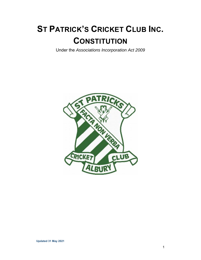# **ST PATRICK'S CRICKET CLUB INC. CONSTITUTION**

Under the *Associations Incorporation Act 2009* 

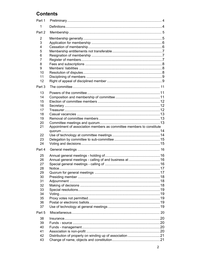## **Contents**

| Appointment of association members as committee members to constitute |  |
|-----------------------------------------------------------------------|--|
|                                                                       |  |
|                                                                       |  |
|                                                                       |  |
|                                                                       |  |
|                                                                       |  |
|                                                                       |  |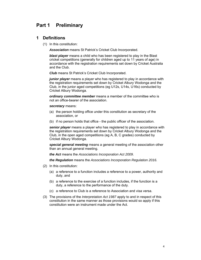## **Part 1 Preliminary**

#### **1 Definitions**

(1) In this constitution:

*Association* means St Patrick's Cricket Club Incorporated.

*blast player* means a child who has been registered to play in the Blast cricket competitions (generally for children aged up to 11 years of age) in accordance with the registration requirements set down by Cricket Australia and the Club.

*Club* means St Patrick's Cricket Club Incorporated.

*junior player* means a player who has registered to play in accordance with the registration requirements set down by Cricket Albury Wodonga and the Club, in the junior aged competitions (eg U12s, U14s, U16s) conducted by Cricket Albury Wodonga.

*ordinary committee member* means a member of the committee who is not an office-bearer of the association.

*secretary* means:

- (a) the person holding office under this constitution as secretary of the association, or
- (b) if no person holds that office the public officer of the association.

*senior player* means a player who has registered to play in accordance with the registration requirements set down by Cricket Albury Wodonga and the Club, in the open aged competitions (eg A, B, C grades) conducted by Cricket Albury Wodonga.

*special general meeting* means a general meeting of the association other than an annual general meeting.

*the Act* means the *Associations Incorporation Act 2009*.

*the Regulation* means the *Associations Incorporation Regulation 2016.* 

- (2) In this constitution:
	- (a) a reference to a function includes a reference to a power, authority and duty, and
	- (b) a reference to the exercise of a function includes, if the function is a duty, a reference to the performance of the duty.
	- (c) a reference to Club is a reference to Association and visa versa.
- (3) The provisions of the *Interpretation Act 1987* apply to and in respect of this constitution in the same manner as those provisions would so apply if this constitution were an instrument made under the Act.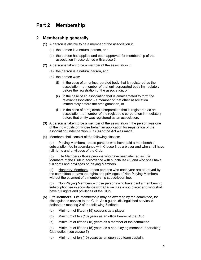## **Part 2 Membership**

#### **2 Membership generally**

- (1) A person is eligible to be a member of the association if:
	- (a) the person is a natural person, and
	- (b) the person has applied and been approved for membership of the association in accordance with clause 3.
- (2) A person is taken to be a member of the association if:
	- (a) the person is a natural person, and
	- (b) the person was:
		- (i) in the case of an unincorporated body that is registered as the association - a member of that unincorporated body immediately before the registration of the association, or
		- (ii) in the case of an association that is amalgamated to form the relevant association - a member of that other association immediately before the amalgamation, or
		- (iii) in the case of a registrable corporation that is registered as an association - a member of the registrable corporation immediately before that entity was registered as an association.
- (3) A person is taken to be a member of the association if the person was one of the individuals on whose behalf an application for registration of the association under section 6 (1) (a) of the Act was made.
- (4) Members shall consist of the following classes:

 (a) Playing Members - those persons who have paid a membership subscription fee in accordance with Clause 8 as a player and who shall have full rights and privileges of the Club.

 (b) Life Members - those persons who have been elected as Life Members of the Club in accordance with subclause (5) and who shall have full rights and privileges of Playing Members.

 (c) Honorary Members - those persons who each year are approved by the committee to have the rights and privileges of Non Playing Members without the payment of a membership subscription fee.

(d) Non Playing Members – those persons who have paid a membership subscription fee in accordance with Clause 8 as a non player and who shall have full rights and privileges of the Club.

- (5) **Life Members**. Life Membership may be awarded by the committee, for distinguished service to the Club. As a guide, distinguished service is defined as meeting 2 of the following 5 criteria:
	- (a) Minimum of fifteen (15) seasons as a player
	- (b) Minimum of ten (10) years as an office bearer of the Club
	- (c) Minimum of fifteen (15) years as a member of the committee
	- (d) Minimum of fifteen (15) years as a non-playing member undertaking Club duties (see clause 7)
	- (e) Minimum of ten (10) years as an open age team captain.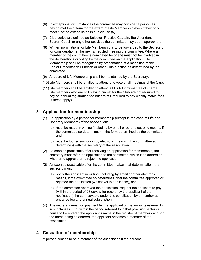- (6) In exceptional circumstances the committee may consider a person as having met the criteria for the award of Life Membership even if they only meet 1 of the criteria listed in sub clause (5).
- (7) Club duties are defined as Selector, Practice Captain, Bar Attendant, Scorer, Coach or any other activities the committee may deem appropriate.
- (8) Written nominations for Life Membership is to be forwarded to the Secretary for consideration at the next scheduled meeting the committee. Where a member of the committee is nominated he or she must not be involved in the deliberations or voting by the committee on the application. Life Membership shall be recognised by presentation of a medallion at the Senior Presentation Function or other Club function as determined by the committee.
- (9) A record of Life Membership shall be maintained by the Secretary.
- (10) Life Members shall be entitled to attend and vote at all meetings of the Club.
- (11) Life members shall be entitled to attend all Club functions free of charge. Life members who are still playing cricket for the Club are not required to pay an annual registration fee but are still required to pay weekly match fees (if these apply).

## **3 Application for membership**

- (1) An application by a person for membership (except in the case of Life and Honorary Members) of the association:
	- (a) must be made in writing (including by email or other electronic means, if the committee so determines) in the form determined by the committee, and
	- (b) must be lodged (including by electronic means, if the committee so determines) with the secretary of the association.
- (2) As soon as practicable after receiving an application for membership, the secretary must refer the application to the committee, which is to determine whether to approve or to reject the application.
- (3) As soon as practicable after the committee makes that determination, the secretary must:
	- (a) notify the applicant in writing (including by email or other electronic means, if the committee so determines) that the committee approved or rejected the application (whichever is applicable), and
	- (b) if the committee approved the application, request the applicant to pay (within the period of 28 days after receipt by the applicant of the notification) the sum payable under this constitution by a member as entrance fee and annual subscription.
- (4) The secretary must, on payment by the applicant of the amounts referred to in subclause (3) (b) within the period referred to in that provision, enter or cause to be entered the applicant's name in the register of members and, on the name being so entered, the applicant becomes a member of the association.

## **4 Cessation of membership**

A person ceases to be a member of the association if the person: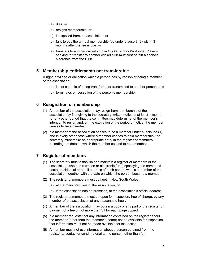- (a) dies, or
- (b) resigns membership, or
- (c) is expelled from the association, or
- (d) fails to pay the annual membership fee under clause 8 (2) within 3 months after the fee is due; or
- (e) transfers to another cricket club in Cricket Albury Wodonga. Players seeking to transfer to another cricket club must first obtain a financial clearance from the Club.

#### **5 Membership entitlements not transferable**

A right, privilege or obligation which a person has by reason of being a member of the association:

- (a) is not capable of being transferred or transmitted to another person, and
- (b) terminates on cessation of the person's membership.

#### **6 Resignation of membership**

- (1) A member of the association may resign from membership of the association by first giving to the secretary written notice of at least 1 month (or any other period that the committee may determine) of the member's intention to resign and, on the expiration of the period of notice, the member ceases to be a member.
- (2) If a member of the association ceases to be a member under subclause (1), and in every other case where a member ceases to hold membership, the secretary must make an appropriate entry in the register of members recording the date on which the member ceased to be a member.

#### **7 Register of members**

- (1) The secretary must establish and maintain a register of members of the association (whether in written or electronic form) specifying the name and postal, residential or email address of each person who is a member of the association together with the date on which the person became a member.
- (2) The register of members must be kept in New South Wales:
	- (a) at the main premises of the association, or
	- (b) if the association has no premises, at the association's official address.
- (3) The register of members must be open for inspection, free of charge, by any member of the association at any reasonable hour.
- (4) A member of the association may obtain a copy of any part of the register on payment of a fee of not more than \$1 for each page copied.
- (5) If a member requests that any information contained on the register about the member (other than the member's name) not be available for inspection, that information must not be made available for inspection.
- (6) A member must not use information about a person obtained from the register to contact or send material to the person, other than for: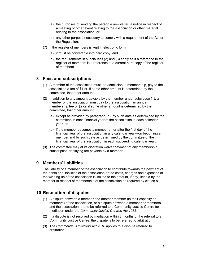- (a) the purposes of sending the person a newsletter, a notice in respect of a meeting or other event relating to the association or other material relating to the association, or
- (b) any other purpose necessary to comply with a requirement of the Act or the Regulation.
- (7) If the register of members is kept in electronic form:
	- (a) it must be convertible into hard copy, and
	- (b) the requirements in subclauses (2) and (3) apply as if a reference to the register of members is a reference to a current hard copy of the register of members.

## **8 Fees and subscriptions**

- (1) A member of the association must, on admission to membership, pay to the association a fee of \$1 or, if some other amount is determined by the committee, that other amount.
- (2) In addition to any amount payable by the member under subclause (1), a member of the association must pay to the association an annual membership fee of \$2 or, if some other amount is determined by the committee, that other amount:
	- (a) except as provided by paragraph (b), by such date as determined by the committee in each financial year of the association in each calendar year, or
	- (b) if the member becomes a member on or after the first day of the financial year of the association in any calendar year—on becoming a member and by such date as determined by the committee of the financial year of the association in each succeeding calendar year.
- (3) The committee may at its discretion waiver payment of any membership subscription or playing fee payable by a member.

## **9 Members' liabilities**

The liability of a member of the association to contribute towards the payment of the debts and liabilities of the association or the costs, charges and expenses of the winding up of the association is limited to the amount, if any, unpaid by the member in respect of membership of the association as required by clause 8.

#### **10 Resolution of disputes**

- (1) A dispute between a member and another member (in their capacity as members) of the association, or a dispute between a member or members and the association, are to be referred to a Community Justice Centre for mediation under the *Community Justice Centres Act 1983*.
- (2) If a dispute is not resolved by mediation within 3 months of the referral to a Community Justice Centre, the dispute is to be referred to arbitration.
- (3) The *Commercial Arbitration Act 2010* applies to a dispute referred to arbitration.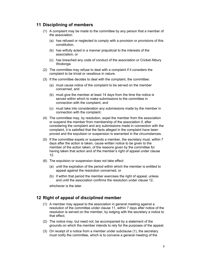## **11 Disciplining of members**

- (1) A complaint may be made to the committee by any person that a member of the association:
	- (a) has refused or neglected to comply with a provision or provisions of this constitution,
	- (b) has wilfully acted in a manner prejudicial to the interests of the association, or
	- (c) has breached any code of conduct of the association or Cricket Albury Wodonga.
- (2) The committee may refuse to deal with a complaint if it considers the complaint to be trivial or vexatious in nature.
- (3) If the committee decides to deal with the complaint, the committee:
	- (a) must cause notice of the complaint to be served on the member concerned, and
	- (b) must give the member at least 14 days from the time the notice is served within which to make submissions to the committee in connection with the complaint, and
	- (c) must take into consideration any submissions made by the member in connection with the complaint.
- (4) The committee may, by resolution, expel the member from the association or suspend the member from membership of the association if, after considering the complaint and any submissions made in connection with the complaint, it is satisfied that the facts alleged in the complaint have been proved and the expulsion or suspension is warranted in the circumstances.
- (5) If the committee expels or suspends a member, the secretary must, within 7 days after the action is taken, cause written notice to be given to the member of the action taken, of the reasons given by the committee for having taken that action and of the member's right of appeal under clause 12.
- (6) The expulsion or suspension does not take effect:
	- (a) until the expiration of the period within which the member is entitled to appeal against the resolution concerned, or
	- (b) if within that period the member exercises the right of appeal, unless and until the association confirms the resolution under clause 12,

whichever is the later.

#### **12 Right of appeal of disciplined member**

- (1) A member may appeal to the association in general meeting against a resolution of the committee under clause 11, within 7 days after notice of the resolution is served on the member, by lodging with the secretary a notice to that effect.
- (2) The notice may, but need not, be accompanied by a statement of the grounds on which the member intends to rely for the purposes of the appeal.
- (3) On receipt of a notice from a member under subclause (1), the secretary must notify the committee, which is to convene a general meeting of the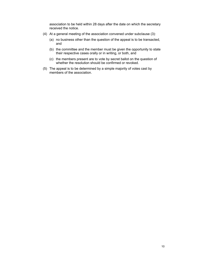association to be held within 28 days after the date on which the secretary received the notice.

- (4) At a general meeting of the association convened under subclause (3):
	- (a) no business other than the question of the appeal is to be transacted, and
	- (b) the committee and the member must be given the opportunity to state their respective cases orally or in writing, or both, and
	- (c) the members present are to vote by secret ballot on the question of whether the resolution should be confirmed or revoked.
- (5) The appeal is to be determined by a simple majority of votes cast by members of the association.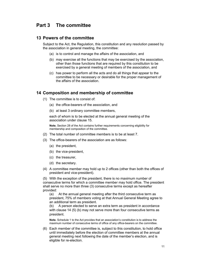## **Part 3 The committee**

#### **13 Powers of the committee**

Subject to the Act, the Regulation, this constitution and any resolution passed by the association in general meeting, the committee:

- (a) is to control and manage the affairs of the association, and
- (b) may exercise all the functions that may be exercised by the association, other than those functions that are required by this constitution to be exercised by a general meeting of members of the association, and
- (c) has power to perform all the acts and do all things that appear to the committee to be necessary or desirable for the proper management of the affairs of the association.

#### **14 Composition and membership of committee**

- (1) The committee is to consist of:
	- (a) the office-bearers of the association, and
	- (b) at least 3 ordinary committee members,

each of whom is to be elected at the annual general meeting of the association under clause 15.

**Note.** Section 28 of the Act contains further requirements concerning eligibility for membership and composition of the committee.

- (2) The total number of committee members is to be at least 7.
- (3) The office-bearers of the association are as follows:
	- (a) the president,
	- (b) the vice-president,
	- (c) the treasurer,
	- (d) the secretary.
- (4) A committee member may hold up to 2 offices (other than both the offices of president and vice-president).

(5) With the exception of the president, there is no maximum number of consecutive terms for which a committee member may hold office. The president shall serve no more than three (3) consecutive terms except as hereafter provided:

(a) At the annual general meeting after the third consecutive term as president, 75% of members voting at that Annual General Meeting agree to an additional term as president.

(b) A person elected to serve an extra term as president in accordance with clause 14 (5) (b) may not serve more than four consecutive terms as president.

**Note.** Schedule 1 to the Act provides that an association's constitution is to address the maximum number of consecutive terms of office of any office-bearers on the committee.

(6) Each member of the committee is, subject to this constitution, to hold office until immediately before the election of committee members at the annual general meeting next following the date of the member's election, and is eligible for re-election.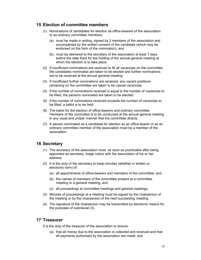#### **15 Election of committee members**

- (1) Nominations of candidates for election as office-bearers of the association or as ordinary committee members:
	- (a) must be made in writing, signed by 2 members of the association and accompanied by the written consent of the candidate (which may be endorsed on the form of the nomination), and
	- (b) must be delivered to the secretary of the association at least 7 days before the date fixed for the holding of the annual general meeting at which the election is to take place.
- (2) If insufficient nominations are received to fill all vacancies on the committee, the candidates nominated are taken to be elected and further nominations are to be received at the annual general meeting.
- (3) If insufficient further nominations are received, any vacant positions remaining on the committee are taken to be casual vacancies.
- (4) If the number of nominations received is equal to the number of vacancies to be filled, the persons nominated are taken to be elected.
- (5) If the number of nominations received exceeds the number of vacancies to be filled, a ballot is to be held.
- (6) The ballot for the election of office-bearers and ordinary committee members of the committee is to be conducted at the annual general meeting in any usual and proper manner that the committee directs.
- (7) A person nominated as a candidate for election as an office-bearer or as an ordinary committee member of the association must be a member of the association.

#### **16 Secretary**

- (1) The secretary of the association must, as soon as practicable after being appointed as secretary, lodge notice with the association of his or her address.
- (2) It is the duty of the secretary to keep minutes (whether in written or electronic form) of:
	- (a) all appointments of office-bearers and members of the committee, and
	- (b) the names of members of the committee present at a committee meeting or a general meeting, and
	- (c) all proceedings at committee meetings and general meetings.
- (3) Minutes of proceedings at a meeting must be signed by the chairperson of the meeting or by the chairperson of the next succeeding meeting.
- (4) The signature of the chairperson may be transmitted by electronic means for the purposes of subclause (3).

#### **17 Treasurer**

It is the duty of the treasurer of the association to ensure:

(a) that all money due to the association is collected and received and that all payments authorised by the association are made, and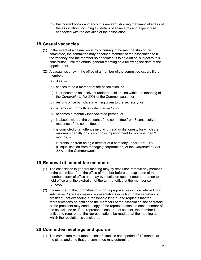(b) that correct books and accounts are kept showing the financial affairs of the association, including full details of all receipts and expenditure connected with the activities of the association.

#### **18 Casual vacancies**

- (1) In the event of a casual vacancy occurring in the membership of the committee, the committee may appoint a member of the association to fill the vacancy and the member so appointed is to hold office, subject to this constitution, until the annual general meeting next following the date of the appointment.
- (2) A casual vacancy in the office of a member of the committee occurs if the member:
	- (a) dies, or
	- (b) ceases to be a member of the association, or
	- (c) is or becomes an insolvent under administration within the meaning of the *Corporations Act 2001* of the Commonwealth, or
	- (d) resigns office by notice in writing given to the secretary, or
	- (e) is removed from office under clause 19, or
	- (f) becomes a mentally incapacitated person, or
	- (g) is absent without the consent of the committee from 3 consecutive meetings of the committee, or
	- (h) is convicted of an offence involving fraud or dishonesty for which the maximum penalty on conviction is imprisonment for not less than 3 months, or
	- (i) is prohibited from being a director of a company under Part 2D.6 (Disqualification from managing corporations) of the *Corporations Act 2001* of the Commonwealth.

## **19 Removal of committee members**

- (1) The association in general meeting may by resolution remove any member of the committee from the office of member before the expiration of the member's term of office and may by resolution appoint another person to hold office until the expiration of the term of office of the member so removed.
- (2) If a member of the committee to whom a proposed resolution referred to in subclause (1) relates makes representations in writing to the secretary or president (not exceeding a reasonable length) and requests that the representations be notified to the members of the association, the secretary or the president may send a copy of the representations to each member of the association or, if the representations are not so sent, the member is entitled to require that the representations be read out at the meeting at which the resolution is considered.

## **20 Committee meetings and quorum**

(1) The committee must meet at least 3 times in each period of 12 months at the place and time that the committee may determine.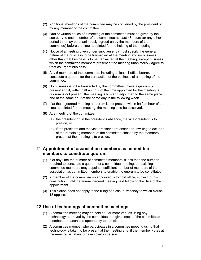- (2) Additional meetings of the committee may be convened by the president or by any member of the committee.
- (3) Oral or written notice of a meeting of the committee must be given by the secretary to each member of the committee at least 48 hours (or any other period that may be unanimously agreed on by the members of the committee) before the time appointed for the holding of the meeting.
- (4) Notice of a meeting given under subclause (3) must specify the general nature of the business to be transacted at the meeting and no business other than that business is to be transacted at the meeting, except business which the committee members present at the meeting unanimously agree to treat as urgent business.
- (5) Any 5 members of the committee, including at least 1 office bearer, constitute a quorum for the transaction of the business of a meeting of the committee.
- (6) No business is to be transacted by the committee unless a quorum is present and if, within half an hour of the time appointed for the meeting, a quorum is not present, the meeting is to stand adjourned to the same place and at the same hour of the same day in the following week.
- (7) If at the adjourned meeting a quorum is not present within half an hour of the time appointed for the meeting, the meeting is to be dissolved.
- (8) At a meeting of the committee:
	- (a) the president or, in the president's absence, the vice-president is to preside, or
	- (b) if the president and the vice-president are absent or unwilling to act, one of the remaining members of the committee chosen by the members present at the meeting is to preside.

## **21 Appointment of association members as committee members to constitute quorum**

- (1) If at any time the number of committee members is less than the number required to constitute a quorum for a committee meeting, the existing committee members may appoint a sufficient number of members of the association as committee members to enable the quorum to be constituted.
- (2) A member of the committee so appointed is to hold office, subject to this constitution, until the annual general meeting next following the date of the appointment.
- (3) This clause does not apply to the filling of a casual vacancy to which clause 18 applies.

#### **22 Use of technology at committee meetings**

- (1) A committee meeting may be held at 2 or more venues using any technology approved by the committee that gives each of the committee's members a reasonable opportunity to participate.
- (2) A committee member who participates in a committee meeting using that technology is taken to be present at the meeting and, if the member votes at the meeting, is taken to have voted in person.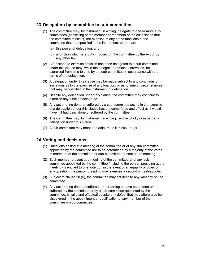#### **23 Delegation by committee to sub-committee**

- (1) The committee may, by instrument in writing, delegate to one or more subcommittees (consisting of the member or members of the association that the committee thinks fit) the exercise of any of the functions of the committee that are specified in the instrument, other than:
	- (a) this power of delegation, and
	- (b) a function which is a duty imposed on the committee by the Act or by any other law.
- (2) A function the exercise of which has been delegated to a sub-committee under this clause may, while the delegation remains unrevoked, be exercised from time to time by the sub-committee in accordance with the terms of the delegation.
- (3) A delegation under this clause may be made subject to any conditions or limitations as to the exercise of any function, or as to time or circumstances, that may be specified in the instrument of delegation.
- (4) Despite any delegation under this clause, the committee may continue to exercise any function delegated.
- (5) Any act or thing done or suffered by a sub-committee acting in the exercise of a delegation under this clause has the same force and effect as it would have if it had been done or suffered by the committee.
- (6) The committee may, by instrument in writing, revoke wholly or in part any delegation under this clause.
- (7) A sub-committee may meet and adjourn as it thinks proper.

#### **24 Voting and decisions**

- (1) Questions arising at a meeting of the committee or of any sub-committee appointed by the committee are to be determined by a majority of the votes of members of the committee or sub-committee present at the meeting.
- (2) Each member present at a meeting of the committee or of any subcommittee appointed by the committee (including the person presiding at the meeting) is entitled to one vote but, in the event of an equality of votes on any question, the person presiding may exercise a second or casting vote.
- (3) Subject to clause 20 (5), the committee may act despite any vacancy on the committee.
- (4) Any act or thing done or suffered, or purporting to have been done or suffered, by the committee or by a sub-committee appointed by the committee, is valid and effectual despite any defect that may afterwards be discovered in the appointment or qualification of any member of the committee or sub-committee.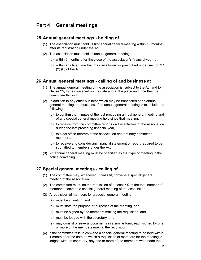## **Part 4 General meetings**

#### **25 Annual general meetings - holding of**

- (1) The association must hold its first annual general meeting within 18 months after its registration under the Act.
- (2) The association must hold its annual general meetings:
	- (a) within 6 months after the close of the association's financial year, or
	- (b) within any later time that may be allowed or prescribed under section 37  $(2)$  (b) of the Act.

#### **26 Annual general meetings - calling of and business at**

- (1) The annual general meeting of the association is, subject to the Act and to clause 25, to be convened on the date and at the place and time that the committee thinks fit.
- (2) In addition to any other business which may be transacted at an annual general meeting, the business of an annual general meeting is to include the following:
	- (a) to confirm the minutes of the last preceding annual general meeting and of any special general meeting held since that meeting,
	- (b) to receive from the committee reports on the activities of the association during the last preceding financial year,
	- (c) to elect office-bearers of the association and ordinary committee members,
	- (d) to receive and consider any financial statement or report required to be submitted to members under the Act.
- (3) An annual general meeting must be specified as that type of meeting in the notice convening it.

#### **27 Special general meetings - calling of**

- (1) The committee may, whenever it thinks fit, convene a special general meeting of the association.
- (2) The committee must, on the requisition of at least 5% of the total number of members, convene a special general meeting of the association.
- (3) A requisition of members for a special general meeting:
	- (a) must be in writing, and
	- (b) must state the purpose or purposes of the meeting, and
	- (c) must be signed by the members making the requisition, and
	- (d) must be lodged with the secretary, and
	- (e) may consist of several documents in a similar form, each signed by one or more of the members making the requisition.
- (4) If the committee fails to convene a special general meeting to be held within 1 month after the date on which a requisition of members for the meeting is lodged with the secretary, any one or more of the members who made the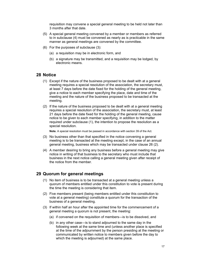requisition may convene a special general meeting to be held not later than 3 months after that date.

- (5) A special general meeting convened by a member or members as referred to in subclause (4) must be convened as nearly as is practicable in the same manner as general meetings are convened by the committee.
- (6) For the purposes of subclause (3):
	- (a) a requisition may be in electronic form, and
	- (b) a signature may be transmitted, and a requisition may be lodged, by electronic means.

#### **28 Notice**

- (1) Except if the nature of the business proposed to be dealt with at a general meeting requires a special resolution of the association, the secretary must, at least 7 days before the date fixed for the holding of the general meeting, give a notice to each member specifying the place, date and time of the meeting and the nature of the business proposed to be transacted at the meeting.
- (2) If the nature of the business proposed to be dealt with at a general meeting requires a special resolution of the association, the secretary must, at least 21 days before the date fixed for the holding of the general meeting, cause notice to be given to each member specifying, in addition to the matter required under subclause (1), the intention to propose the resolution as a special resolution.

**Note.** A special resolution must be passed in accordance with section 39 of the Act.

- (3) No business other than that specified in the notice convening a general meeting is to be transacted at the meeting except, in the case of an annual general meeting, business which may be transacted under clause 26 (2).
- (4) A member desiring to bring any business before a general meeting may give notice in writing of that business to the secretary who must include that business in the next notice calling a general meeting given after receipt of the notice from the member.

#### **29 Quorum for general meetings**

- (1) No item of business is to be transacted at a general meeting unless a quorum of members entitled under this constitution to vote is present during the time the meeting is considering that item.
- (2) Five members present (being members entitled under this constitution to vote at a general meeting) constitute a quorum for the transaction of the business of a general meeting.
- (3) If within half an hour after the appointed time for the commencement of a general meeting a quorum is not present, the meeting:
	- (a) if convened on the requisition of members—is to be dissolved, and
	- (b) in any other case—is to stand adjourned to the same day in the following week at the same time and (unless another place is specified at the time of the adjournment by the person presiding at the meeting or communicated by written notice to members given before the day to which the meeting is adjourned) at the same place.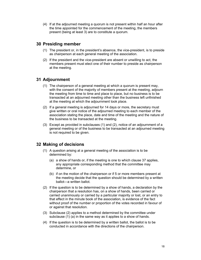(4) If at the adjourned meeting a quorum is not present within half an hour after the time appointed for the commencement of the meeting, the members present (being at least 3) are to constitute a quorum.

## **30 Presiding member**

- (1) The president or, in the president's absence, the vice-president, is to preside as chairperson at each general meeting of the association.
- (2) If the president and the vice-president are absent or unwilling to act, the members present must elect one of their number to preside as chairperson at the meeting.

## **31 Adjournment**

- (1) The chairperson of a general meeting at which a quorum is present may, with the consent of the majority of members present at the meeting, adjourn the meeting from time to time and place to place, but no business is to be transacted at an adjourned meeting other than the business left unfinished at the meeting at which the adjournment took place.
- (2) If a general meeting is adjourned for 14 days or more, the secretary must give written or oral notice of the adjourned meeting to each member of the association stating the place, date and time of the meeting and the nature of the business to be transacted at the meeting.
- (3) Except as provided in subclauses (1) and (2), notice of an adjournment of a general meeting or of the business to be transacted at an adjourned meeting is not required to be given.

## **32 Making of decisions**

- (1) A question arising at a general meeting of the association is to be determined by:
	- (a) a show of hands or, if the meeting is one to which clause 37 applies, any appropriate corresponding method that the committee may determine, or
	- (b) if on the motion of the chairperson or if 5 or more members present at the meeting decide that the question should be determined by a written ballot—a written ballot.
- (2) If the question is to be determined by a show of hands, a declaration by the chairperson that a resolution has, on a show of hands, been carried or carried unanimously or carried by a particular majority or lost, or an entry to that effect in the minute book of the association, is evidence of the fact without proof of the number or proportion of the votes recorded in favour of or against that resolution.
- (3) Subclause (2) applies to a method determined by the committee under subclause (1) (a) in the same way as it applies to a show of hands.
- (4) If the question is to be determined by a written ballot, the ballot is to be conducted in accordance with the directions of the chairperson.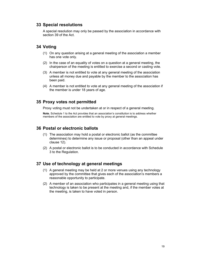## **33 Special resolutions**

A special resolution may only be passed by the association in accordance with section 39 of the Act.

#### **34 Voting**

- (1) On any question arising at a general meeting of the association a member has one vote only.
- (2) In the case of an equality of votes on a question at a general meeting, the chairperson of the meeting is entitled to exercise a second or casting vote.
- (3) A member is not entitled to vote at any general meeting of the association unless all money due and payable by the member to the association has been paid.
- (4) A member is not entitled to vote at any general meeting of the association if the member is under 18 years of age.

#### **35 Proxy votes not permitted**

Proxy voting must not be undertaken at or in respect of a general meeting.

**Note.** Schedule 1 to the Act provides that an association's constitution is to address whether members of the association are entitled to vote by proxy at general meetings.

## **36 Postal or electronic ballots**

- (1) The association may hold a postal or electronic ballot (as the committee determines) to determine any issue or proposal (other than an appeal under clause 12).
- (2) A postal or electronic ballot is to be conducted in accordance with Schedule 3 to the Regulation.

## **37 Use of technology at general meetings**

- (1) A general meeting may be held at 2 or more venues using any technology approved by the committee that gives each of the association's members a reasonable opportunity to participate.
- (2) A member of an association who participates in a general meeting using that technology is taken to be present at the meeting and, if the member votes at the meeting, is taken to have voted in person.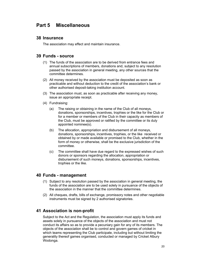## **Part 5 Miscellaneous**

#### **38 Insurance**

The association may effect and maintain insurance.

#### **39 Funds - source**

- (1) The funds of the association are to be derived from entrance fees and annual subscriptions of members, donations and, subject to any resolution passed by the association in general meeting, any other sources that the committee determines.
- (2) All money received by the association must be deposited as soon as practicable and without deduction to the credit of the association's bank or other authorised deposit-taking institution account.
- (3) The association must, as soon as practicable after receiving any money, issue an appropriate receipt.
- (4) Fundraising:
	- (a) The raising or obtaining in the name of the Club of all moneys, donations, sponsorships, incentives, trophies or the like for the Club or for a member or members of the Club in their capacity as members of the Club, must be approved or ratified by the committee or its duly appointed nominee(s).
	- (b) The allocation, appropriation and disbursement of all moneys, donations, sponsorships, incentives, trophies, or the like received or obtained by or made available or promised to the Club, whether in the form of money or otherwise, shall be the exclusive jurisdiction of the committee.
	- (c) The committee shall have due regard to the expressed wishes of such donors or sponsors regarding the allocation, appropriation or disbursement of such moneys, donations, sponsorships, incentives, trophies or the like.

#### **40 Funds - management**

- (1) Subject to any resolution passed by the association in general meeting, the funds of the association are to be used solely in pursuance of the objects of the association in the manner that the committee determines.
- (2) All cheques, drafts, bills of exchange, promissory notes and other negotiable instruments must be signed by 2 authorised signatories.

## **41 Association is non-profit**

Subject to the Act and the Regulation, the association must apply its funds and assets solely in pursuance of the objects of the association and must not conduct its affairs so as to provide a pecuniary gain for any of its members. The objects of the association shall be to control and govern games of cricket in which teams representing the Club participate, including but without limiting the generality thereof games organised, conducted or managed by Cricket Albury Wodonga.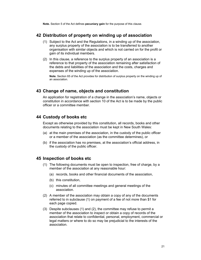**Note.** Section 5 of the Act defines **pecuniary gain** for the purpose of this clause.

#### **42 Distribution of property on winding up of association**

- (1) Subject to the Act and the Regulations, in a winding up of the association, any surplus property of the association is to be transferred to another organisation with similar objects and which is not carried on for the profit or gain of its individual members.
- (2) In this clause, a reference to the surplus property of an association is a reference to that property of the association remaining after satisfaction of the debts and liabilities of the association and the costs, charges and expenses of the winding up of the association.

**Note.** Section 65 of the Act provides for distribution of surplus property on the winding up of an association.

#### **43 Change of name, objects and constitution**

An application for registration of a change in the association's name, objects or constitution in accordance with section 10 of the Act is to be made by the public officer or a committee member.

#### **44 Custody of books etc**

Except as otherwise provided by this constitution, all records, books and other documents relating to the association must be kept in New South Wales:

- (a) at the main premises of the association, in the custody of the public officer or a member of the association (as the committee determines), or
- (b) if the association has no premises, at the association's official address, in the custody of the public officer.

#### **45 Inspection of books etc**

- (1) The following documents must be open to inspection, free of charge, by a member of the association at any reasonable hour:
	- (a) records, books and other financial documents of the association,
	- (b) this constitution,
	- (c) minutes of all committee meetings and general meetings of the association.
- (2) A member of the association may obtain a copy of any of the documents referred to in subclause (1) on payment of a fee of not more than \$1 for each page copied.
- (3) Despite subclauses (1) and (2), the committee may refuse to permit a member of the association to inspect or obtain a copy of records of the association that relate to confidential, personal, employment, commercial or legal matters or where to do so may be prejudicial to the interests of the association.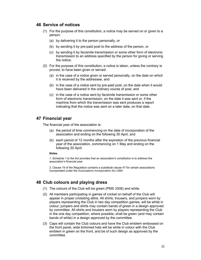#### **46 Service of notices**

- (1) For the purpose of this constitution, a notice may be served on or given to a person:
	- (a) by delivering it to the person personally, or
	- (b) by sending it by pre-paid post to the address of the person, or
	- (c) by sending it by facsimile transmission or some other form of electronic transmission to an address specified by the person for giving or serving the notice.
- (2) For the purpose of this constitution, a notice is taken, unless the contrary is proved, to have been given or served:
	- (a) in the case of a notice given or served personally, on the date on which it is received by the addressee, and
	- (b) in the case of a notice sent by pre-paid post, on the date when it would have been delivered in the ordinary course of post, and
	- (c) in the case of a notice sent by facsimile transmission or some other form of electronic transmission, on the date it was sent or, if the machine from which the transmission was sent produces a report indicating that the notice was sent on a later date, on that date.

#### **47 Financial year**

The financial year of the association is:

- (a) the period of time commencing on the date of incorporation of the association and ending on the following 30 April, and
- (b) each period of 12 months after the expiration of the previous financial year of the association, commencing on 1 May and ending on the following 30 April.

#### **Notes.**

1. Schedule 1 to the Act provides that an association's constitution is to address the association's financial year.

2. Clause 19 of the Regulation contains a substitute clause 47 for certain associations incorporated under the *Associations Incorporation Act 1984*.

#### **48 Club colours and playing dress**

- (1) The colours of the Club will be green (PMS 3308) and white.
- (2) All members participating in games of cricket on behalf of the Club will appear in proper cricketing attire. All shirts, trousers, and jumpers worn by players representing the Club in two day competition games, will be white in colour; jumpers and shirts may contain bands of green in a design approved by committee. All shirts and trousers worn by players representing the Club in the one day competition, where possible, shall be green (and may contain bands of white) in a design approved by the committee.
- (3) Caps will contain the Club colours and have the Club emblem embossed on the front panel, wide brimmed hats will be white in colour with the Club emblem in green on the front, and be of such design as approved by the committee.